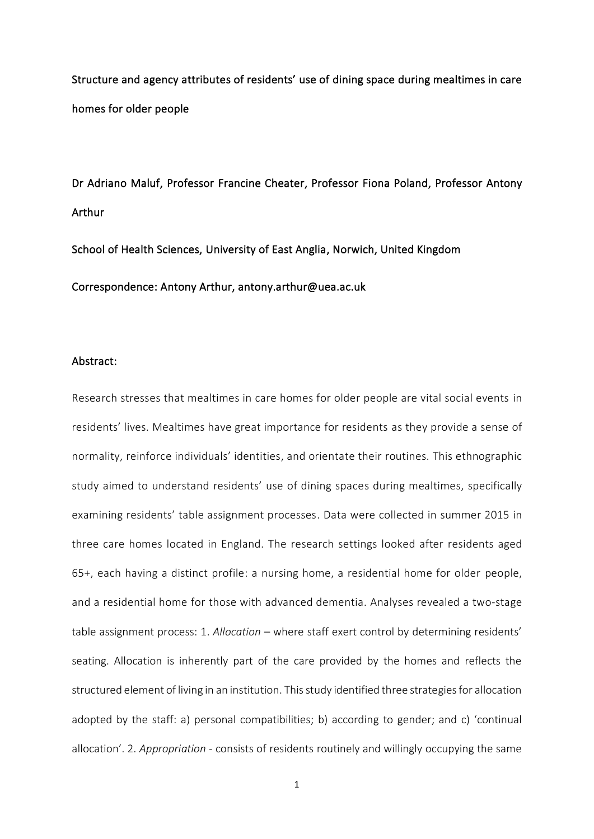Structure and agency attributes of residents' use of dining space during mealtimes in care homes for older people

Dr Adriano Maluf, Professor Francine Cheater, Professor Fiona Poland, Professor Antony Arthur

School of Health Sciences, University of East Anglia, Norwich, United Kingdom

Correspondence: Antony Arthur, antony.arthur@uea.ac.uk

#### Abstract:

Research stresses that mealtimes in care homes for older people are vital social events in residents' lives. Mealtimes have great importance for residents as they provide a sense of normality, reinforce individuals' identities, and orientate their routines. This ethnographic study aimed to understand residents' use of dining spaces during mealtimes, specifically examining residents' table assignment processes. Data were collected in summer 2015 in three care homes located in England. The research settings looked after residents aged 65+, each having a distinct profile: a nursing home, a residential home for older people, and a residential home for those with advanced dementia. Analyses revealed a two-stage table assignment process: 1. *Allocation* – where staff exert control by determining residents' seating. Allocation is inherently part of the care provided by the homes and reflects the structured element of living in an institution. This study identified three strategies for allocation adopted by the staff: a) personal compatibilities; b) according to gender; and c) 'continual allocation'. 2. *Appropriation* - consists of residents routinely and willingly occupying the same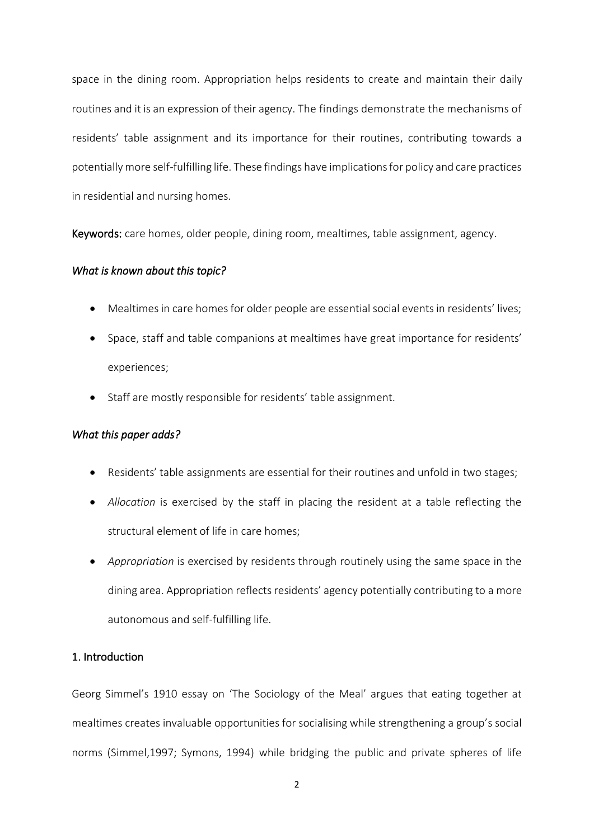space in the dining room. Appropriation helps residents to create and maintain their daily routines and it is an expression of their agency. The findings demonstrate the mechanisms of residents' table assignment and its importance for their routines, contributing towards a potentially more self-fulfilling life. These findings have implications for policy and care practices in residential and nursing homes.

Keywords: care homes, older people, dining room, mealtimes, table assignment, agency.

## *What is known about this topic?*

- Mealtimes in care homes for older people are essential social events in residents' lives;
- Space, staff and table companions at mealtimes have great importance for residents' experiences;
- Staff are mostly responsible for residents' table assignment.

# *What this paper adds?*

- Residents' table assignments are essential for their routines and unfold in two stages;
- *Allocation* is exercised by the staff in placing the resident at a table reflecting the structural element of life in care homes;
- *Appropriation* is exercised by residents through routinely using the same space in the dining area. Appropriation reflects residents' agency potentially contributing to a more autonomous and self-fulfilling life.

# 1. Introduction

Georg Simmel's 1910 essay on 'The Sociology of the Meal' argues that eating together at mealtimes creates invaluable opportunities for socialising while strengthening a group's social norms (Simmel,1997; Symons, 1994) while bridging the public and private spheres of life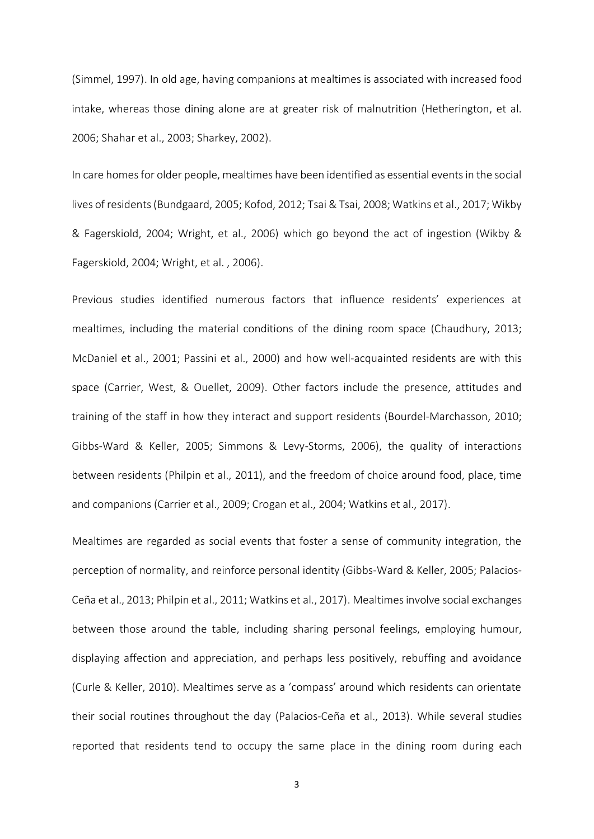(Simmel, 1997). In old age, having companions at mealtimes is associated with increased food intake, whereas those dining alone are at greater risk of malnutrition (Hetherington, et al. 2006; Shahar et al., 2003; Sharkey, 2002).

In care homes for older people, mealtimes have been identified as essential events in the social lives of residents (Bundgaard, 2005; Kofod, 2012; Tsai & Tsai, 2008; Watkins et al., 2017; Wikby & Fagerskiold, 2004; Wright, et al., 2006) which go beyond the act of ingestion (Wikby & Fagerskiold, 2004; Wright, et al. , 2006).

Previous studies identified numerous factors that influence residents' experiences at mealtimes, including the material conditions of the dining room space (Chaudhury, 2013; McDaniel et al., 2001; Passini et al., 2000) and how well-acquainted residents are with this space (Carrier, West, & Ouellet, 2009). Other factors include the presence, attitudes and training of the staff in how they interact and support residents (Bourdel-Marchasson, 2010; Gibbs-Ward & Keller, 2005; Simmons & Levy-Storms, 2006), the quality of interactions between residents (Philpin et al., 2011), and the freedom of choice around food, place, time and companions (Carrier et al., 2009; Crogan et al., 2004; Watkins et al., 2017).

Mealtimes are regarded as social events that foster a sense of community integration, the perception of normality, and reinforce personal identity (Gibbs-Ward & Keller, 2005; Palacios-Ceña et al., 2013; Philpin et al., 2011; Watkins et al., 2017). Mealtimes involve social exchanges between those around the table, including sharing personal feelings, employing humour, displaying affection and appreciation, and perhaps less positively, rebuffing and avoidance (Curle & Keller, 2010). Mealtimes serve as a 'compass' around which residents can orientate their social routines throughout the day (Palacios-Ceña et al., 2013). While several studies reported that residents tend to occupy the same place in the dining room during each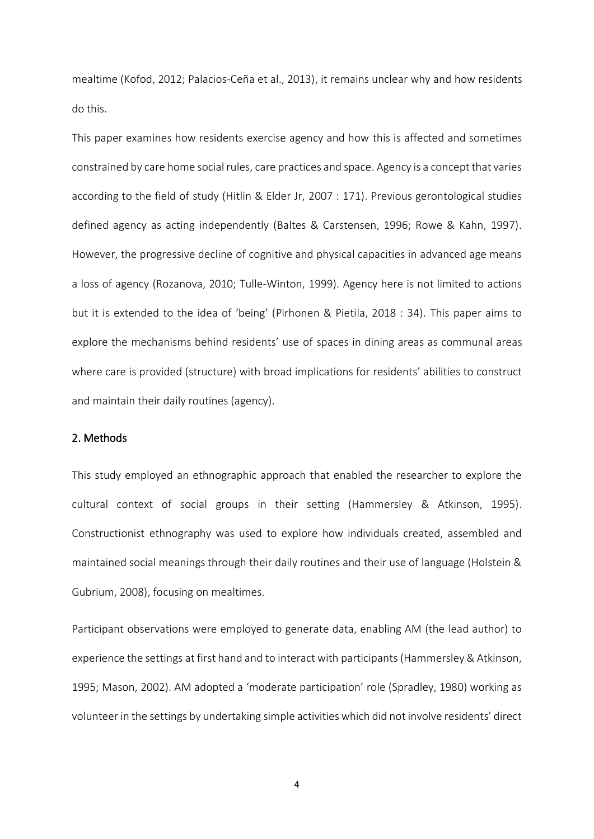mealtime (Kofod, 2012; Palacios-Ceña et al., 2013), it remains unclear why and how residents do this.

This paper examines how residents exercise agency and how this is affected and sometimes constrained by care home social rules, care practices and space. Agency is a concept that varies according to the field of study (Hitlin & Elder Jr, 2007 : 171). Previous gerontological studies defined agency as acting independently (Baltes & Carstensen, 1996; Rowe & Kahn, 1997). However, the progressive decline of cognitive and physical capacities in advanced age means a loss of agency (Rozanova, 2010; Tulle-Winton, 1999). Agency here is not limited to actions but it is extended to the idea of 'being' (Pirhonen & Pietila, 2018 : 34). This paper aims to explore the mechanisms behind residents' use of spaces in dining areas as communal areas where care is provided (structure) with broad implications for residents' abilities to construct and maintain their daily routines (agency).

# 2. Methods

This study employed an ethnographic approach that enabled the researcher to explore the cultural context of social groups in their setting (Hammersley & Atkinson, 1995). Constructionist ethnography was used to explore how individuals created, assembled and maintained social meanings through their daily routines and their use of language (Holstein & Gubrium, 2008), focusing on mealtimes.

Participant observations were employed to generate data, enabling AM (the lead author) to experience the settings at first hand and to interact with participants (Hammersley & Atkinson, 1995; Mason, 2002). AM adopted a 'moderate participation' role (Spradley, 1980) working as volunteer in the settings by undertaking simple activities which did not involve residents' direct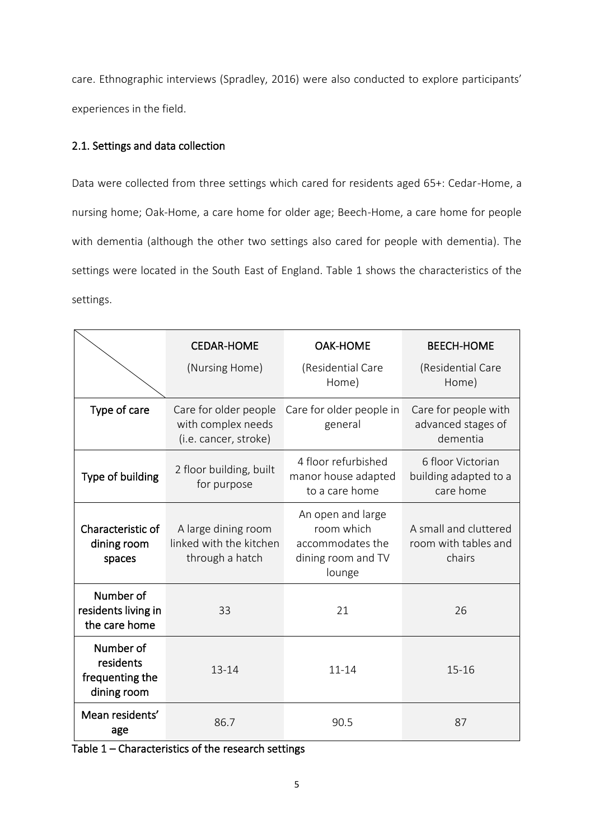care. Ethnographic interviews (Spradley, 2016) were also conducted to explore participants' experiences in the field.

# 2.1. Settings and data collection

Data were collected from three settings which cared for residents aged 65+: Cedar-Home, a nursing home; Oak-Home, a care home for older age; Beech-Home, a care home for people with dementia (although the other two settings also cared for people with dementia). The settings were located in the South East of England. Table 1 shows the characteristics of the settings.

|                                                          | <b>CEDAR-HOME</b>                                                    | <b>OAK-HOME</b>                                                                     | <b>BEECH-HOME</b>                                       |
|----------------------------------------------------------|----------------------------------------------------------------------|-------------------------------------------------------------------------------------|---------------------------------------------------------|
|                                                          | (Nursing Home)                                                       | (Residential Care<br>Home)                                                          | (Residential Care<br>Home)                              |
| Type of care                                             | Care for older people<br>with complex needs<br>(i.e. cancer, stroke) | Care for older people in<br>general                                                 | Care for people with<br>advanced stages of<br>dementia  |
| Type of building                                         | 2 floor building, built<br>for purpose                               | 4 floor refurbished<br>manor house adapted<br>to a care home                        | 6 floor Victorian<br>building adapted to a<br>care home |
| Characteristic of<br>dining room<br>spaces               | A large dining room<br>linked with the kitchen<br>through a hatch    | An open and large<br>room which<br>accommodates the<br>dining room and TV<br>lounge | A small and cluttered<br>room with tables and<br>chairs |
| Number of<br>residents living in<br>the care home        | 33                                                                   | 21                                                                                  | 26                                                      |
| Number of<br>residents<br>frequenting the<br>dining room | $13 - 14$                                                            | $11 - 14$                                                                           | $15 - 16$                                               |
| Mean residents'<br>age                                   | 86.7                                                                 | 90.5                                                                                | 87                                                      |

Table 1 – Characteristics of the research settings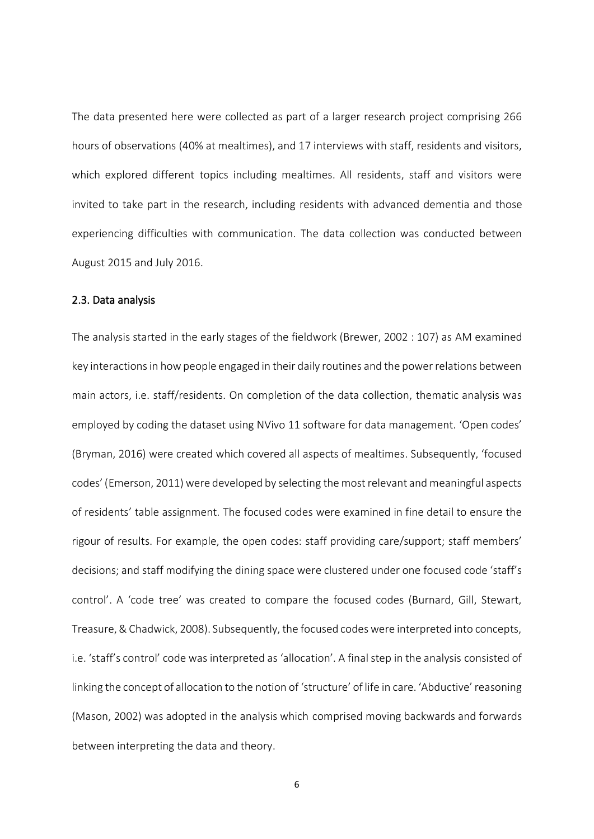The data presented here were collected as part of a larger research project comprising 266 hours of observations (40% at mealtimes), and 17 interviews with staff, residents and visitors, which explored different topics including mealtimes. All residents, staff and visitors were invited to take part in the research, including residents with advanced dementia and those experiencing difficulties with communication. The data collection was conducted between August 2015 and July 2016.

# 2.3. Data analysis

The analysis started in the early stages of the fieldwork (Brewer, 2002 : 107) as AM examined key interactions in how people engaged in their daily routines and the power relations between main actors, i.e. staff/residents. On completion of the data collection, thematic analysis was employed by coding the dataset using NVivo 11 software for data management. 'Open codes' (Bryman, 2016) were created which covered all aspects of mealtimes. Subsequently, 'focused codes' (Emerson, 2011) were developed by selecting the most relevant and meaningful aspects of residents' table assignment. The focused codes were examined in fine detail to ensure the rigour of results. For example, the open codes: staff providing care/support; staff members' decisions; and staff modifying the dining space were clustered under one focused code 'staff's control'. A 'code tree' was created to compare the focused codes (Burnard, Gill, Stewart, Treasure, & Chadwick, 2008). Subsequently, the focused codes were interpreted into concepts, i.e. 'staff's control' code was interpreted as 'allocation'. A final step in the analysis consisted of linking the concept of allocation to the notion of 'structure' of life in care. 'Abductive' reasoning (Mason, 2002) was adopted in the analysis which comprised moving backwards and forwards between interpreting the data and theory.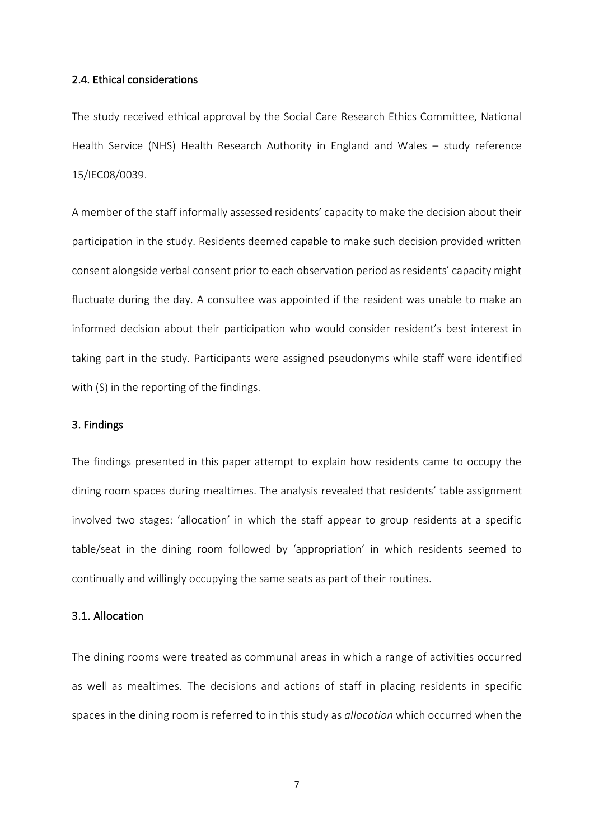## 2.4. Ethical considerations

The study received ethical approval by the Social Care Research Ethics Committee, National Health Service (NHS) Health Research Authority in England and Wales – study reference 15/IEC08/0039.

A member of the staff informally assessed residents' capacity to make the decision about their participation in the study. Residents deemed capable to make such decision provided written consent alongside verbal consent prior to each observation period as residents' capacity might fluctuate during the day. A consultee was appointed if the resident was unable to make an informed decision about their participation who would consider resident's best interest in taking part in the study. Participants were assigned pseudonyms while staff were identified with (S) in the reporting of the findings.

#### 3. Findings

The findings presented in this paper attempt to explain how residents came to occupy the dining room spaces during mealtimes. The analysis revealed that residents' table assignment involved two stages: 'allocation' in which the staff appear to group residents at a specific table/seat in the dining room followed by 'appropriation' in which residents seemed to continually and willingly occupying the same seats as part of their routines.

## 3.1. Allocation

The dining rooms were treated as communal areas in which a range of activities occurred as well as mealtimes. The decisions and actions of staff in placing residents in specific spaces in the dining room is referred to in this study as *allocation* which occurred when the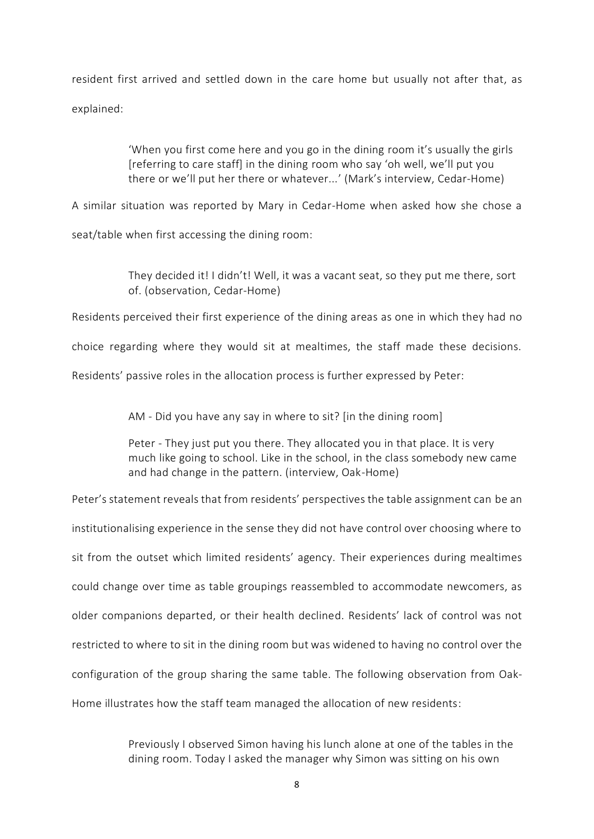resident first arrived and settled down in the care home but usually not after that, as explained:

> 'When you first come here and you go in the dining room it's usually the girls [referring to care staff] in the dining room who say 'oh well, we'll put you there or we'll put her there or whatever...' (Mark's interview, Cedar-Home)

A similar situation was reported by Mary in Cedar-Home when asked how she chose a

seat/table when first accessing the dining room:

They decided it! I didn't! Well, it was a vacant seat, so they put me there, sort of. (observation, Cedar-Home)

Residents perceived their first experience of the dining areas as one in which they had no

choice regarding where they would sit at mealtimes, the staff made these decisions.

Residents' passive roles in the allocation process is further expressed by Peter:

AM - Did you have any say in where to sit? [in the dining room]

Peter - They just put you there. They allocated you in that place. It is very much like going to school. Like in the school, in the class somebody new came and had change in the pattern. (interview, Oak-Home)

Peter's statement reveals that from residents' perspectives the table assignment can be an institutionalising experience in the sense they did not have control over choosing where to sit from the outset which limited residents' agency. Their experiences during mealtimes could change over time as table groupings reassembled to accommodate newcomers, as older companions departed, or their health declined. Residents' lack of control was not restricted to where to sit in the dining room but was widened to having no control over the configuration of the group sharing the same table. The following observation from Oak-Home illustrates how the staff team managed the allocation of new residents:

> Previously I observed Simon having his lunch alone at one of the tables in the dining room. Today I asked the manager why Simon was sitting on his own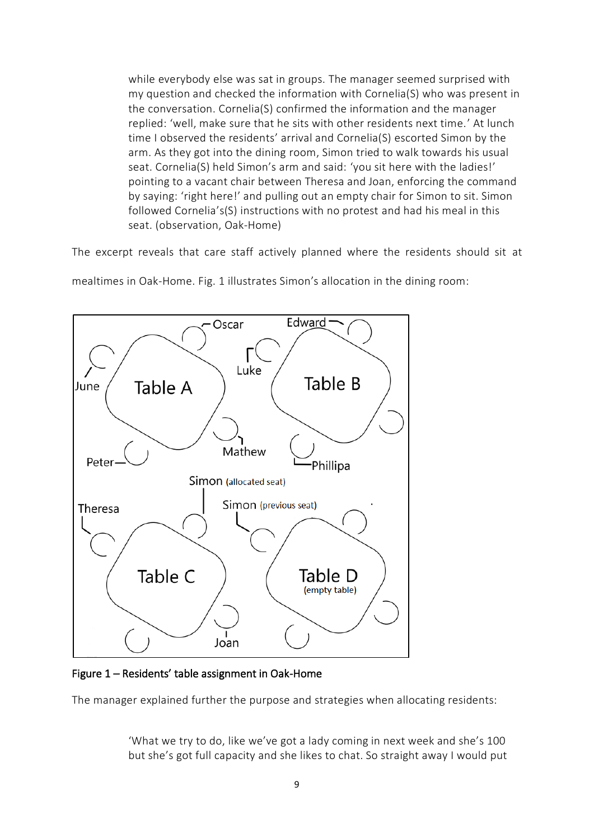while everybody else was sat in groups. The manager seemed surprised with my question and checked the information with Cornelia(S) who was present in the conversation. Cornelia(S) confirmed the information and the manager replied: 'well, make sure that he sits with other residents next time.' At lunch time I observed the residents' arrival and Cornelia(S) escorted Simon by the arm. As they got into the dining room, Simon tried to walk towards his usual seat. Cornelia(S) held Simon's arm and said: 'you sit here with the ladies!' pointing to a vacant chair between Theresa and Joan, enforcing the command by saying: 'right here!' and pulling out an empty chair for Simon to sit. Simon followed Cornelia's(S) instructions with no protest and had his meal in this seat. (observation, Oak-Home)

The excerpt reveals that care staff actively planned where the residents should sit at

mealtimes in Oak-Home. Fig. 1 illustrates Simon's allocation in the dining room:



Figure 1 – Residents' table assignment in Oak-Home

The manager explained further the purpose and strategies when allocating residents:

'What we try to do, like we've got a lady coming in next week and she's 100 but she's got full capacity and she likes to chat. So straight away I would put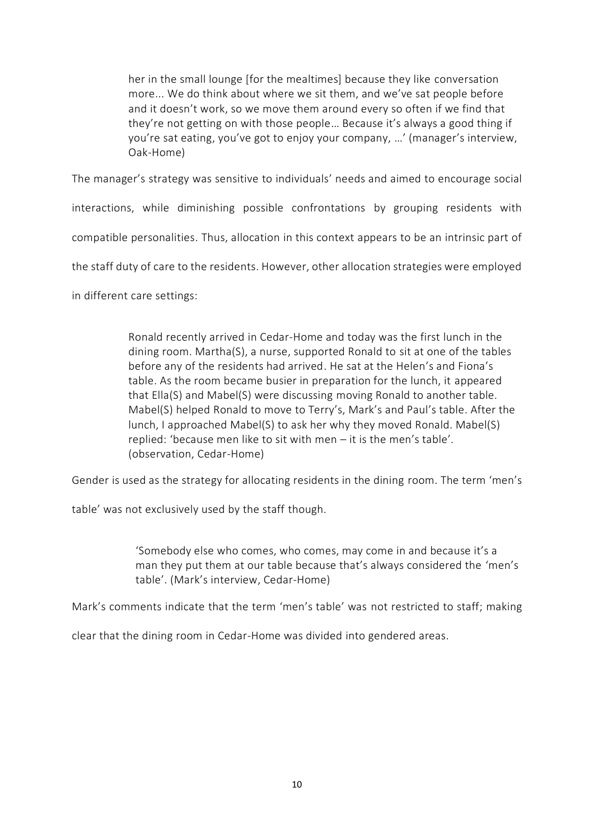her in the small lounge [for the mealtimes] because they like conversation more... We do think about where we sit them, and we've sat people before and it doesn't work, so we move them around every so often if we find that they're not getting on with those people… Because it's always a good thing if you're sat eating, you've got to enjoy your company, …' (manager's interview, Oak-Home)

The manager's strategy was sensitive to individuals' needs and aimed to encourage social

interactions, while diminishing possible confrontations by grouping residents with

compatible personalities. Thus, allocation in this context appears to be an intrinsic part of

the staff duty of care to the residents. However, other allocation strategies were employed

in different care settings:

Ronald recently arrived in Cedar-Home and today was the first lunch in the dining room. Martha(S), a nurse, supported Ronald to sit at one of the tables before any of the residents had arrived. He sat at the Helen's and Fiona's table. As the room became busier in preparation for the lunch, it appeared that Ella(S) and Mabel(S) were discussing moving Ronald to another table. Mabel(S) helped Ronald to move to Terry's, Mark's and Paul's table. After the lunch, I approached Mabel(S) to ask her why they moved Ronald. Mabel(S) replied: 'because men like to sit with men – it is the men's table'*.* (observation, Cedar-Home)

Gender is used as the strategy for allocating residents in the dining room. The term 'men's

table' was not exclusively used by the staff though.

'Somebody else who comes, who comes, may come in and because it's a man they put them at our table because that's always considered the 'men's table'. (Mark's interview, Cedar-Home)

Mark's comments indicate that the term 'men's table' was not restricted to staff; making

clear that the dining room in Cedar-Home was divided into gendered areas.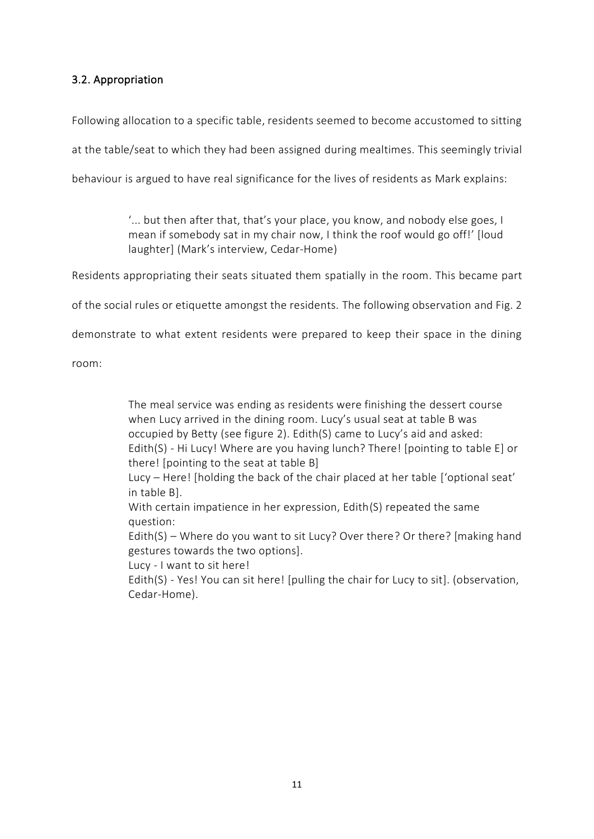# 3.2. Appropriation

Following allocation to a specific table, residents seemed to become accustomed to sitting

at the table/seat to which they had been assigned during mealtimes. This seemingly trivial

behaviour is argued to have real significance for the lives of residents as Mark explains:

'... but then after that, that's your place, you know, and nobody else goes, I mean if somebody sat in my chair now, I think the roof would go off!' [loud laughter] (Mark's interview, Cedar-Home)

Residents appropriating their seats situated them spatially in the room. This became part

of the social rules or etiquette amongst the residents. The following observation and Fig. 2

demonstrate to what extent residents were prepared to keep their space in the dining

room:

The meal service was ending as residents were finishing the dessert course when Lucy arrived in the dining room. Lucy's usual seat at table B was occupied by Betty (see figure 2). Edith(S) came to Lucy's aid and asked: Edith(S) - Hi Lucy! Where are you having lunch? There! [pointing to table E] or there! [pointing to the seat at table B]

Lucy – Here! [holding the back of the chair placed at her table ['optional seat' in table B].

With certain impatience in her expression, Edith(S) repeated the same question:

Edith(S) – Where do you want to sit Lucy? Over there? Or there? [making hand gestures towards the two options].

Lucy - I want to sit here!

Edith(S) - Yes! You can sit here! [pulling the chair for Lucy to sit]. (observation, Cedar-Home).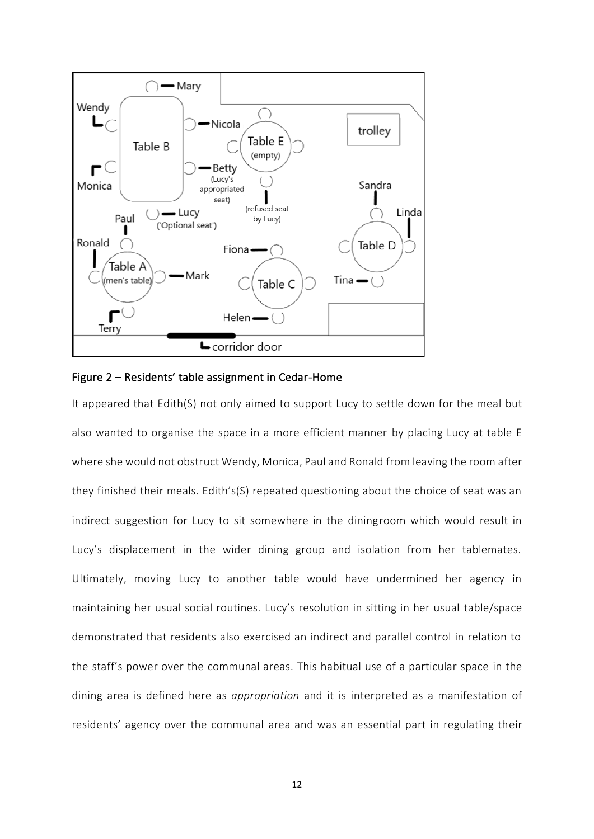



It appeared that Edith(S) not only aimed to support Lucy to settle down for the meal but also wanted to organise the space in a more efficient manner by placing Lucy at table E where she would not obstruct Wendy, Monica, Paul and Ronald from leaving the room after they finished their meals. Edith's(S) repeated questioning about the choice of seat was an indirect suggestion for Lucy to sit somewhere in the diningroom which would result in Lucy's displacement in the wider dining group and isolation from her tablemates. Ultimately, moving Lucy to another table would have undermined her agency in maintaining her usual social routines. Lucy's resolution in sitting in her usual table/space demonstrated that residents also exercised an indirect and parallel control in relation to the staff's power over the communal areas. This habitual use of a particular space in the dining area is defined here as *appropriation* and it is interpreted as a manifestation of residents' agency over the communal area and was an essential part in regulating their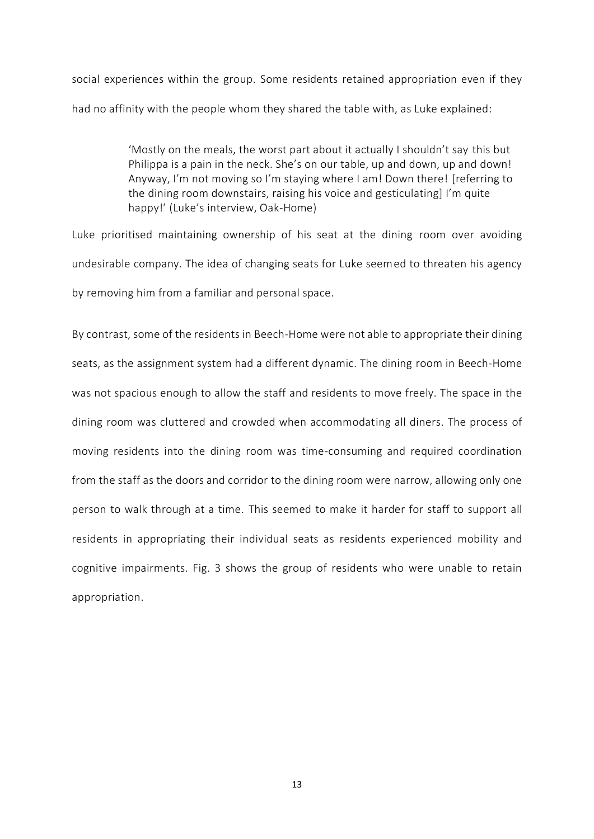social experiences within the group. Some residents retained appropriation even if they had no affinity with the people whom they shared the table with, as Luke explained:

> 'Mostly on the meals, the worst part about it actually I shouldn't say this but Philippa is a pain in the neck. She's on our table, up and down, up and down! Anyway, I'm not moving so I'm staying where I am! Down there! [referring to the dining room downstairs, raising his voice and gesticulating] I'm quite happy!' (Luke's interview, Oak-Home)

Luke prioritised maintaining ownership of his seat at the dining room over avoiding undesirable company. The idea of changing seats for Luke seemed to threaten his agency by removing him from a familiar and personal space.

By contrast, some of the residents in Beech-Home were not able to appropriate their dining seats, as the assignment system had a different dynamic. The dining room in Beech-Home was not spacious enough to allow the staff and residents to move freely. The space in the dining room was cluttered and crowded when accommodating all diners. The process of moving residents into the dining room was time-consuming and required coordination from the staff as the doors and corridor to the dining room were narrow, allowing only one person to walk through at a time. This seemed to make it harder for staff to support all residents in appropriating their individual seats as residents experienced mobility and cognitive impairments. Fig. 3 shows the group of residents who were unable to retain appropriation.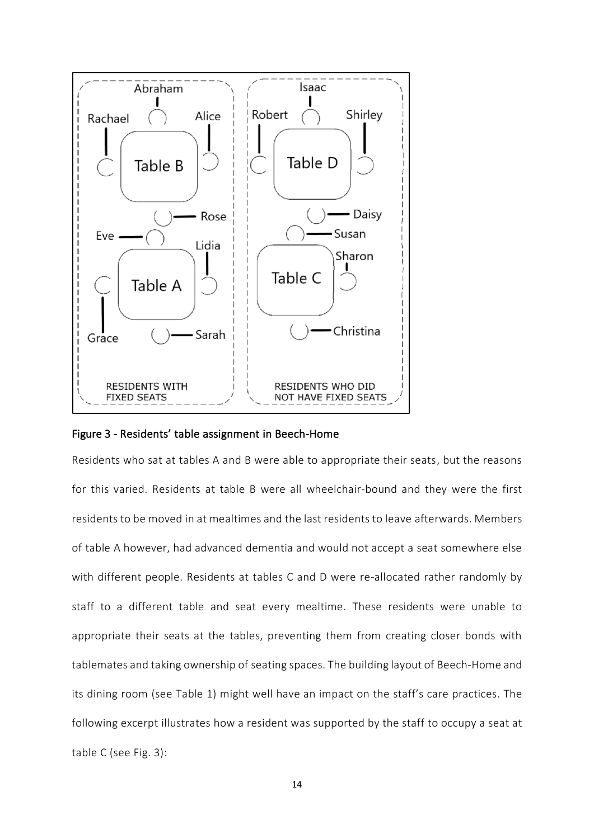



Residents who sat at tables A and B were able to appropriate their seats, but the reasons for this varied. Residents at table B were all wheelchair-bound and they were the first residents to be moved in at mealtimes and the last residents to leave afterwards. Members of table A however, had advanced dementia and would not accept a seat somewhere else with different people. Residents at tables C and D were re-allocated rather randomly by staff to a different table and seat every mealtime. These residents were unable to appropriate their seats at the tables, preventing them from creating closer bonds with tablemates and taking ownership of seating spaces. The building layout of Beech-Home and its dining room (see Table 1) might well have an impact on the staff's care practices. The following excerpt illustrates how a resident was supported by the staff to occupy a seat at table C (see Fig. 3):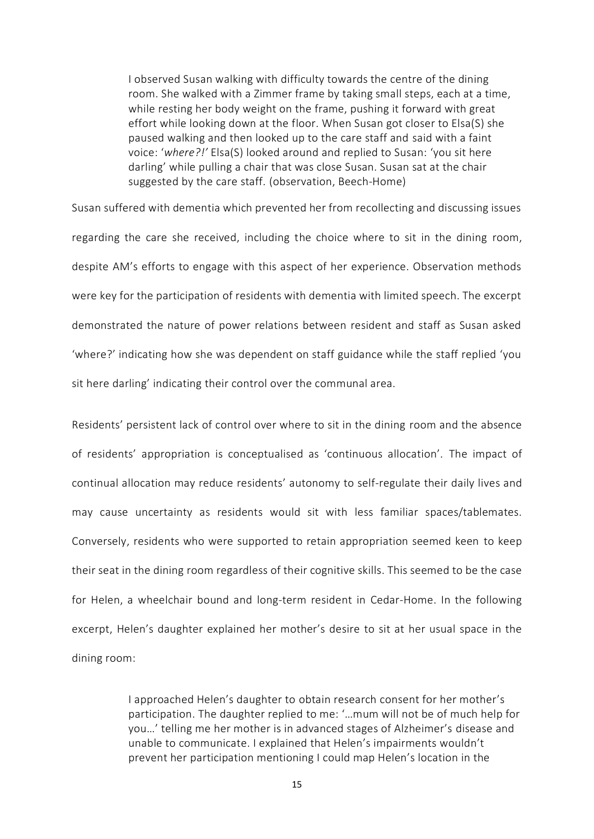I observed Susan walking with difficulty towards the centre of the dining room. She walked with a Zimmer frame by taking small steps, each at a time, while resting her body weight on the frame, pushing it forward with great effort while looking down at the floor. When Susan got closer to Elsa(S) she paused walking and then looked up to the care staff and said with a faint voice: '*where?!'* Elsa(S) looked around and replied to Susan: 'you sit here darling' while pulling a chair that was close Susan. Susan sat at the chair suggested by the care staff. (observation, Beech-Home)

Susan suffered with dementia which prevented her from recollecting and discussing issues regarding the care she received, including the choice where to sit in the dining room, despite AM's efforts to engage with this aspect of her experience. Observation methods were key for the participation of residents with dementia with limited speech. The excerpt demonstrated the nature of power relations between resident and staff as Susan asked 'where?' indicating how she was dependent on staff guidance while the staff replied 'you sit here darling' indicating their control over the communal area.

Residents' persistent lack of control over where to sit in the dining room and the absence of residents' appropriation is conceptualised as 'continuous allocation'. The impact of continual allocation may reduce residents' autonomy to self-regulate their daily lives and may cause uncertainty as residents would sit with less familiar spaces/tablemates. Conversely, residents who were supported to retain appropriation seemed keen to keep their seat in the dining room regardless of their cognitive skills. This seemed to be the case for Helen, a wheelchair bound and long-term resident in Cedar-Home. In the following excerpt, Helen's daughter explained her mother's desire to sit at her usual space in the dining room:

> I approached Helen's daughter to obtain research consent for her mother's participation. The daughter replied to me: '…mum will not be of much help for you…' telling me her mother is in advanced stages of Alzheimer's disease and unable to communicate. I explained that Helen's impairments wouldn't prevent her participation mentioning I could map Helen's location in the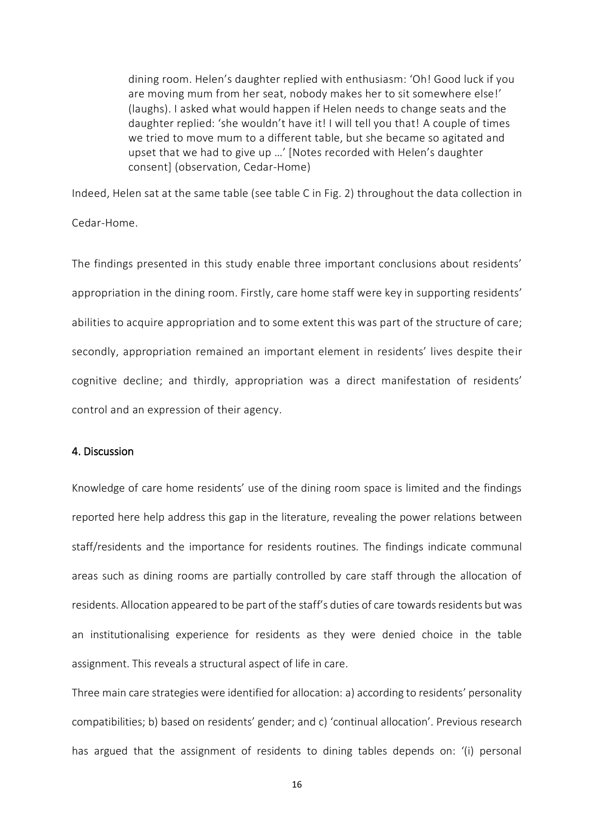dining room. Helen's daughter replied with enthusiasm: 'Oh! Good luck if you are moving mum from her seat, nobody makes her to sit somewhere else!' (laughs). I asked what would happen if Helen needs to change seats and the daughter replied: 'she wouldn't have it! I will tell you that! A couple of times we tried to move mum to a different table, but she became so agitated and upset that we had to give up …' [Notes recorded with Helen's daughter consent] (observation, Cedar-Home)

Indeed, Helen sat at the same table (see table C in Fig. 2) throughout the data collection in Cedar-Home.

The findings presented in this study enable three important conclusions about residents' appropriation in the dining room. Firstly, care home staff were key in supporting residents' abilities to acquire appropriation and to some extent this was part of the structure of care; secondly, appropriation remained an important element in residents' lives despite their cognitive decline; and thirdly, appropriation was a direct manifestation of residents' control and an expression of their agency.

### 4. Discussion

Knowledge of care home residents' use of the dining room space is limited and the findings reported here help address this gap in the literature, revealing the power relations between staff/residents and the importance for residents routines. The findings indicate communal areas such as dining rooms are partially controlled by care staff through the allocation of residents. Allocation appeared to be part of the staff's duties of care towards residents but was an institutionalising experience for residents as they were denied choice in the table assignment. This reveals a structural aspect of life in care.

Three main care strategies were identified for allocation: a) according to residents' personality compatibilities; b) based on residents' gender; and c) 'continual allocation'. Previous research has argued that the assignment of residents to dining tables depends on: '(i) personal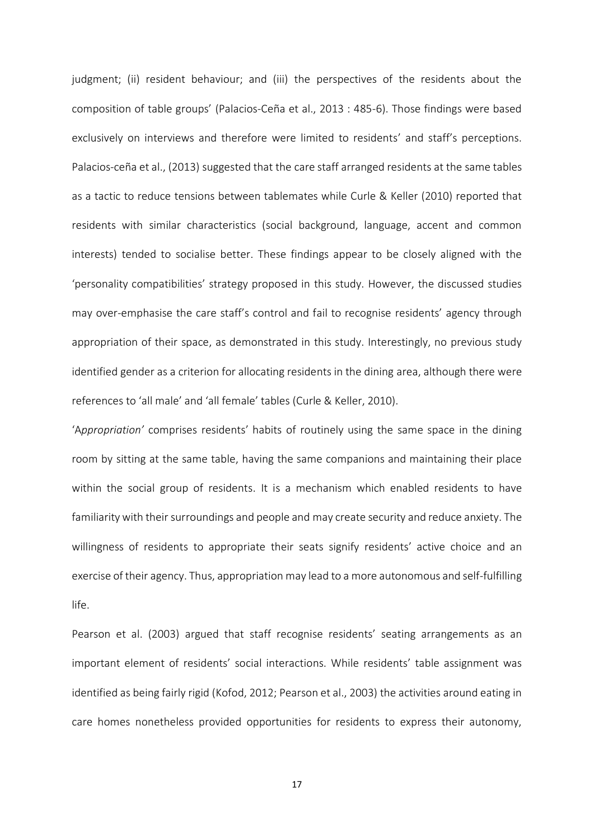judgment; (ii) resident behaviour; and (iii) the perspectives of the residents about the composition of table groups' (Palacios-Ceña et al., 2013 : 485-6). Those findings were based exclusively on interviews and therefore were limited to residents' and staff's perceptions. Palacios-ceña et al., (2013) suggested that the care staff arranged residents at the same tables as a tactic to reduce tensions between tablemates while Curle & Keller (2010) reported that residents with similar characteristics (social background, language, accent and common interests) tended to socialise better. These findings appear to be closely aligned with the 'personality compatibilities' strategy proposed in this study. However, the discussed studies may over-emphasise the care staff's control and fail to recognise residents' agency through appropriation of their space, as demonstrated in this study. Interestingly, no previous study identified gender as a criterion for allocating residents in the dining area, although there were references to 'all male' and 'all female' tables (Curle & Keller, 2010).

'A*ppropriation'* comprises residents' habits of routinely using the same space in the dining room by sitting at the same table, having the same companions and maintaining their place within the social group of residents. It is a mechanism which enabled residents to have familiarity with their surroundings and people and may create security and reduce anxiety. The willingness of residents to appropriate their seats signify residents' active choice and an exercise of their agency. Thus, appropriation may lead to a more autonomous and self-fulfilling life.

Pearson et al. (2003) argued that staff recognise residents' seating arrangements as an important element of residents' social interactions. While residents' table assignment was identified as being fairly rigid (Kofod, 2012; Pearson et al., 2003) the activities around eating in care homes nonetheless provided opportunities for residents to express their autonomy,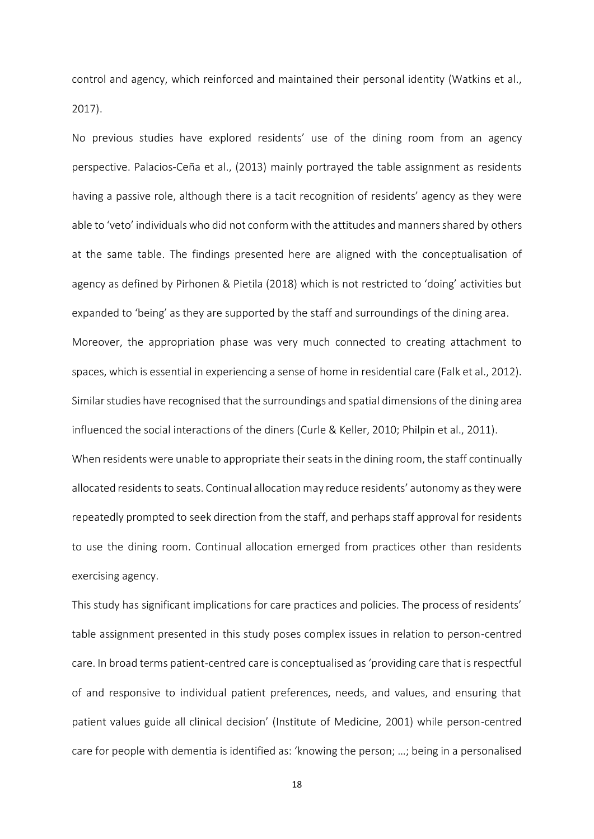control and agency, which reinforced and maintained their personal identity (Watkins et al., 2017).

No previous studies have explored residents' use of the dining room from an agency perspective. Palacios-Ceña et al., (2013) mainly portrayed the table assignment as residents having a passive role, although there is a tacit recognition of residents' agency as they were able to 'veto' individuals who did not conform with the attitudes and manners shared by others at the same table. The findings presented here are aligned with the conceptualisation of agency as defined by Pirhonen & Pietila (2018) which is not restricted to 'doing' activities but expanded to 'being' as they are supported by the staff and surroundings of the dining area. Moreover, the appropriation phase was very much connected to creating attachment to spaces, which is essential in experiencing a sense of home in residential care (Falk et al., 2012). Similar studies have recognised that the surroundings and spatial dimensions of the dining area influenced the social interactions of the diners (Curle & Keller, 2010; Philpin et al., 2011). When residents were unable to appropriate their seats in the dining room, the staff continually allocated residents to seats. Continual allocation may reduce residents' autonomy as they were repeatedly prompted to seek direction from the staff, and perhaps staff approval for residents

exercising agency.

This study has significant implications for care practices and policies. The process of residents' table assignment presented in this study poses complex issues in relation to person-centred care. In broad terms patient-centred care is conceptualised as 'providing care that is respectful of and responsive to individual patient preferences, needs, and values, and ensuring that patient values guide all clinical decision' (Institute of Medicine, 2001) while person-centred care for people with dementia is identified as: 'knowing the person; …; being in a personalised

to use the dining room. Continual allocation emerged from practices other than residents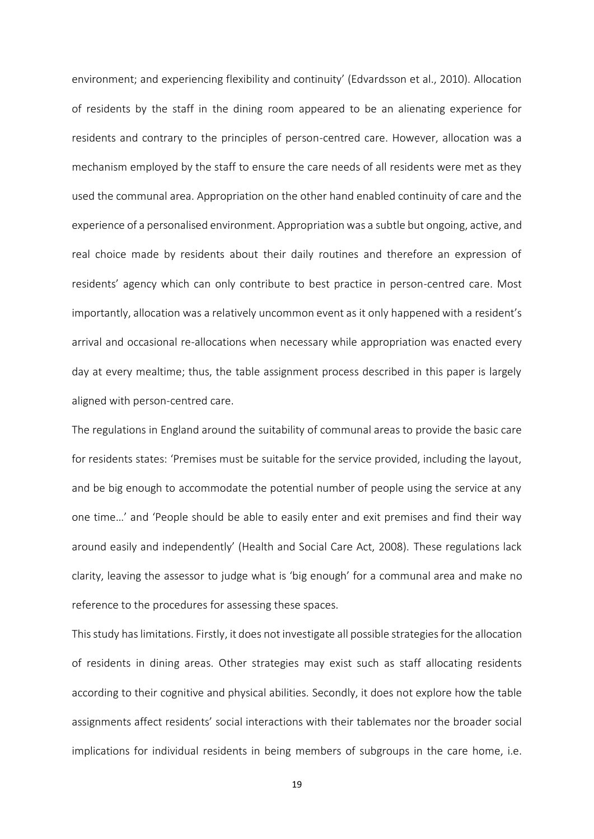environment; and experiencing flexibility and continuity' (Edvardsson et al., 2010). Allocation of residents by the staff in the dining room appeared to be an alienating experience for residents and contrary to the principles of person-centred care. However, allocation was a mechanism employed by the staff to ensure the care needs of all residents were met as they used the communal area. Appropriation on the other hand enabled continuity of care and the experience of a personalised environment. Appropriation was a subtle but ongoing, active, and real choice made by residents about their daily routines and therefore an expression of residents' agency which can only contribute to best practice in person-centred care. Most importantly, allocation was a relatively uncommon event as it only happened with a resident's arrival and occasional re-allocations when necessary while appropriation was enacted every day at every mealtime; thus, the table assignment process described in this paper is largely aligned with person-centred care.

The regulations in England around the suitability of communal areas to provide the basic care for residents states: 'Premises must be suitable for the service provided, including the layout, and be big enough to accommodate the potential number of people using the service at any one time…' and 'People should be able to easily enter and exit premises and find their way around easily and independently' (Health and Social Care Act, 2008). These regulations lack clarity, leaving the assessor to judge what is 'big enough' for a communal area and make no reference to the procedures for assessing these spaces.

Thisstudy has limitations. Firstly, it does not investigate all possible strategies for the allocation of residents in dining areas. Other strategies may exist such as staff allocating residents according to their cognitive and physical abilities. Secondly, it does not explore how the table assignments affect residents' social interactions with their tablemates nor the broader social implications for individual residents in being members of subgroups in the care home, i.e.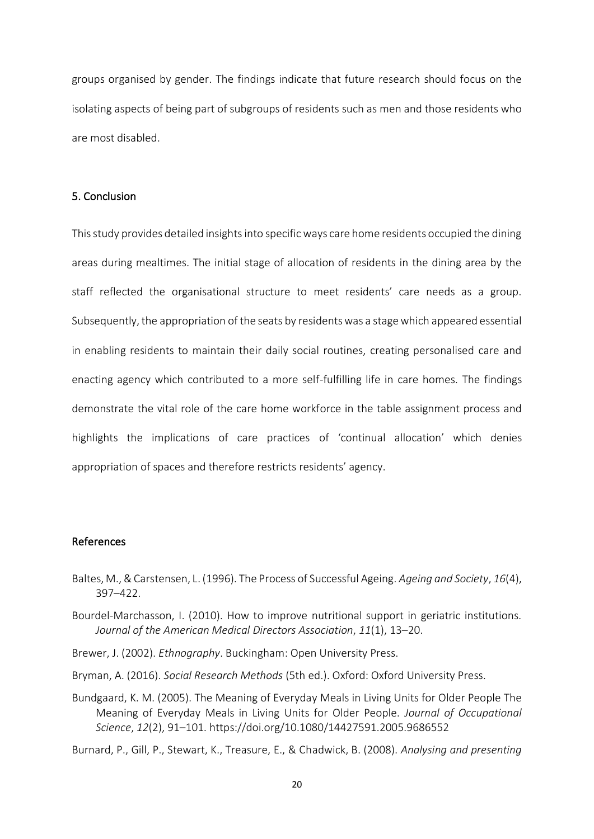groups organised by gender. The findings indicate that future research should focus on the isolating aspects of being part of subgroups of residents such as men and those residents who are most disabled.

## 5. Conclusion

This study provides detailed insights into specific ways care home residents occupied the dining areas during mealtimes. The initial stage of allocation of residents in the dining area by the staff reflected the organisational structure to meet residents' care needs as a group. Subsequently, the appropriation of the seats by residents was a stage which appeared essential in enabling residents to maintain their daily social routines, creating personalised care and enacting agency which contributed to a more self-fulfilling life in care homes. The findings demonstrate the vital role of the care home workforce in the table assignment process and highlights the implications of care practices of 'continual allocation' which denies appropriation of spaces and therefore restricts residents' agency.

## References

- Baltes, M., & Carstensen, L. (1996). The Process of Successful Ageing. *Ageing and Society*, *16*(4), 397–422.
- Bourdel-Marchasson, I. (2010). How to improve nutritional support in geriatric institutions. *Journal of the American Medical Directors Association*, *11*(1), 13–20.
- Brewer, J. (2002). *Ethnography*. Buckingham: Open University Press.
- Bryman, A. (2016). *Social Research Methods* (5th ed.). Oxford: Oxford University Press.
- Bundgaard, K. M. (2005). The Meaning of Everyday Meals in Living Units for Older People The Meaning of Everyday Meals in Living Units for Older People. *Journal of Occupational Science*, *12*(2), 91–101. https://doi.org/10.1080/14427591.2005.9686552

Burnard, P., Gill, P., Stewart, K., Treasure, E., & Chadwick, B. (2008). *Analysing and presenting*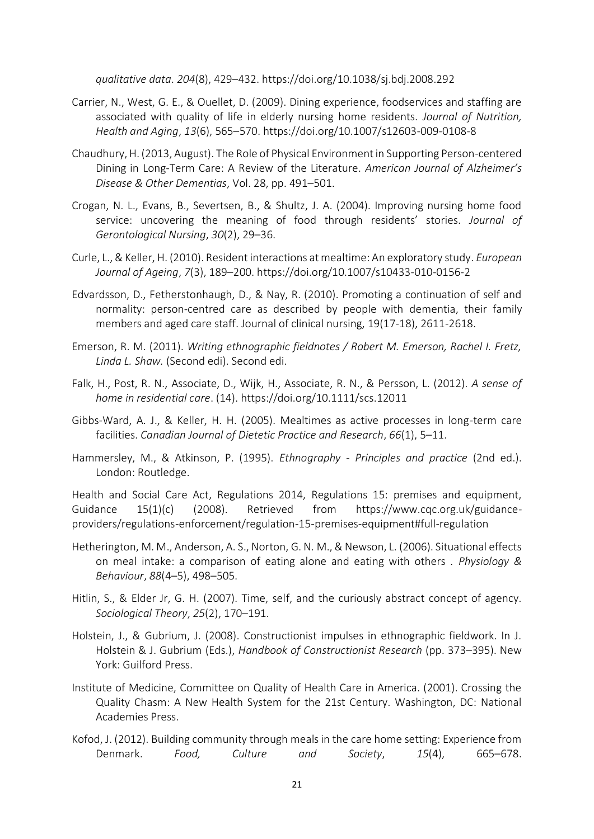*qualitative data*. *204*(8), 429–432. https://doi.org/10.1038/sj.bdj.2008.292

- Carrier, N., West, G. E., & Ouellet, D. (2009). Dining experience, foodservices and staffing are associated with quality of life in elderly nursing home residents. *Journal of Nutrition, Health and Aging*, *13*(6), 565–570. https://doi.org/10.1007/s12603-009-0108-8
- Chaudhury, H. (2013, August). The Role of Physical Environment in Supporting Person-centered Dining in Long-Term Care: A Review of the Literature. *American Journal of Alzheimer's Disease & Other Dementias*, Vol. 28, pp. 491–501.
- Crogan, N. L., Evans, B., Severtsen, B., & Shultz, J. A. (2004). Improving nursing home food service: uncovering the meaning of food through residents' stories. *Journal of Gerontological Nursing*, *30*(2), 29–36.
- Curle, L., & Keller, H. (2010). Resident interactions at mealtime: An exploratory study. *European Journal of Ageing*, *7*(3), 189–200. https://doi.org/10.1007/s10433-010-0156-2
- Edvardsson, D., Fetherstonhaugh, D., & Nay, R. (2010). Promoting a continuation of self and normality: person-centred care as described by people with dementia, their family members and aged care staff. Journal of clinical nursing, 19(17‐18), 2611-2618.
- Emerson, R. M. (2011). *Writing ethnographic fieldnotes / Robert M. Emerson, Rachel I. Fretz, Linda L. Shaw.* (Second edi). Second edi.
- Falk, H., Post, R. N., Associate, D., Wijk, H., Associate, R. N., & Persson, L. (2012). *A sense of home in residential care*. (14). https://doi.org/10.1111/scs.12011
- Gibbs-Ward, A. J., & Keller, H. H. (2005). Mealtimes as active processes in long-term care facilities. *Canadian Journal of Dietetic Practice and Research*, *66*(1), 5–11.
- Hammersley, M., & Atkinson, P. (1995). *Ethnography - Principles and practice* (2nd ed.). London: Routledge.

Health and Social Care Act, Regulations 2014, Regulations 15: premises and equipment, Guidance 15(1)(c) (2008). Retrieved from https://www.cqc.org.uk/guidanceproviders/regulations-enforcement/regulation-15-premises-equipment#full-regulation

- Hetherington, M. M., Anderson, A. S., Norton, G. N. M., & Newson, L. (2006). Situational effects on meal intake: a comparison of eating alone and eating with others . *Physiology & Behaviour*, *88*(4–5), 498–505.
- Hitlin, S., & Elder Jr, G. H. (2007). Time, self, and the curiously abstract concept of agency. *Sociological Theory*, *25*(2), 170–191.
- Holstein, J., & Gubrium, J. (2008). Constructionist impulses in ethnographic fieldwork. In J. Holstein & J. Gubrium (Eds.), *Handbook of Constructionist Research* (pp. 373–395). New York: Guilford Press.
- Institute of Medicine, Committee on Quality of Health Care in America. (2001). Crossing the Quality Chasm: A New Health System for the 21st Century. Washington, DC: National Academies Press.
- Kofod, J. (2012). Building community through meals in the care home setting: Experience from Denmark. *Food, Culture and Society*, *15*(4), 665–678.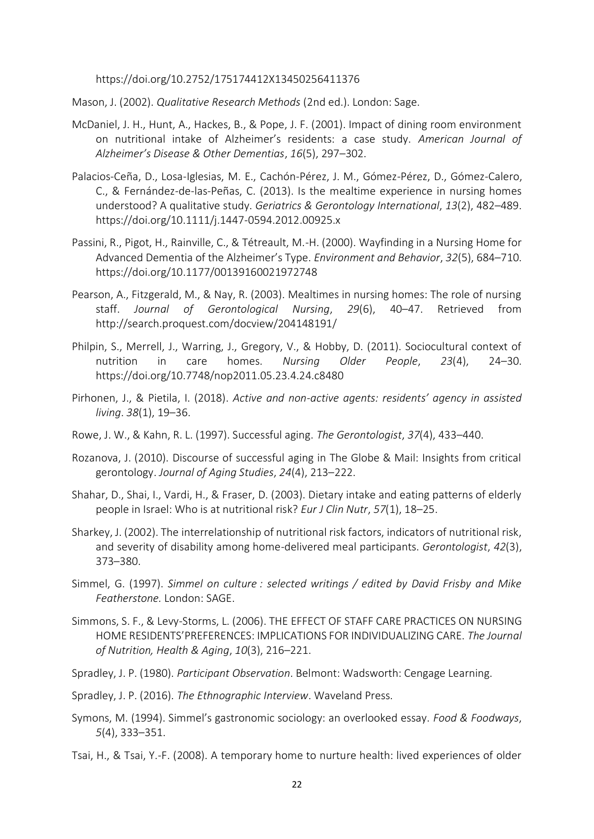https://doi.org/10.2752/175174412X13450256411376

Mason, J. (2002). *Qualitative Research Methods* (2nd ed.). London: Sage.

- McDaniel, J. H., Hunt, A., Hackes, B., & Pope, J. F. (2001). Impact of dining room environment on nutritional intake of Alzheimer's residents: a case study. *American Journal of Alzheimer's Disease & Other Dementias*, *16*(5), 297–302.
- Palacios-Ceña, D., Losa-Iglesias, M. E., Cachón-Pérez, J. M., Gómez-Pérez, D., Gómez-Calero, C., & Fernández-de-las-Peñas, C. (2013). Is the mealtime experience in nursing homes understood? A qualitative study. *Geriatrics & Gerontology International*, *13*(2), 482–489. https://doi.org/10.1111/j.1447-0594.2012.00925.x
- Passini, R., Pigot, H., Rainville, C., & Tétreault, M.-H. (2000). Wayfinding in a Nursing Home for Advanced Dementia of the Alzheimer's Type. *Environment and Behavior*, *32*(5), 684–710. https://doi.org/10.1177/00139160021972748
- Pearson, A., Fitzgerald, M., & Nay, R. (2003). Mealtimes in nursing homes: The role of nursing staff. *Journal of Gerontological Nursing*, *29*(6), 40–47. Retrieved from http://search.proquest.com/docview/204148191/
- Philpin, S., Merrell, J., Warring, J., Gregory, V., & Hobby, D. (2011). Sociocultural context of nutrition in care homes. *Nursing Older People*, *23*(4), 24–30. https://doi.org/10.7748/nop2011.05.23.4.24.c8480
- Pirhonen, J., & Pietila, I. (2018). *Active and non-active agents: residents' agency in assisted living*. *38*(1), 19–36.
- Rowe, J. W., & Kahn, R. L. (1997). Successful aging. *The Gerontologist*, *37*(4), 433–440.
- Rozanova, J. (2010). Discourse of successful aging in The Globe & Mail: Insights from critical gerontology. *Journal of Aging Studies*, *24*(4), 213–222.
- Shahar, D., Shai, I., Vardi, H., & Fraser, D. (2003). Dietary intake and eating patterns of elderly people in Israel: Who is at nutritional risk? *Eur J Clin Nutr*, *57*(1), 18–25.
- Sharkey, J. (2002). The interrelationship of nutritional risk factors, indicators of nutritional risk, and severity of disability among home-delivered meal participants. *Gerontologist*, *42*(3), 373–380.
- Simmel, G. (1997). *Simmel on culture : selected writings / edited by David Frisby and Mike Featherstone.* London: SAGE.
- Simmons, S. F., & Levy-Storms, L. (2006). THE EFFECT OF STAFF CARE PRACTICES ON NURSING HOME RESIDENTS'PREFERENCES: IMPLICATIONS FOR INDIVIDUALIZING CARE. *The Journal of Nutrition, Health & Aging*, *10*(3), 216–221.
- Spradley, J. P. (1980). *Participant Observation*. Belmont: Wadsworth: Cengage Learning.
- Spradley, J. P. (2016). *The Ethnographic Interview*. Waveland Press.
- Symons, M. (1994). Simmel's gastronomic sociology: an overlooked essay. *Food & Foodways*, *5*(4), 333–351.
- Tsai, H., & Tsai, Y.-F. (2008). A temporary home to nurture health: lived experiences of older